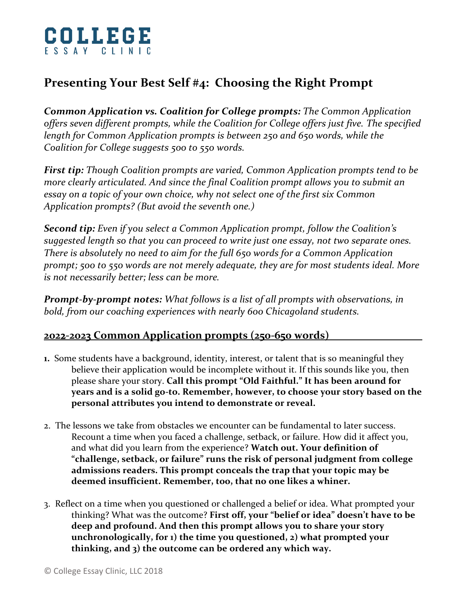

## **Presenting Your Best Self #4: Choosing the Right Prompt**

*Common Application vs. Coalition for College prompts: The Common Application offers seven different prompts, while the Coalition for College offers just five. The specified length for Common Application prompts is between 250 and 650 words, while the Coalition for College suggests 500 to 550 words.* 

*First tip: Though Coalition prompts are varied, Common Application prompts tend to be more clearly articulated. And since the final Coalition prompt allows you to submit an essay on a topic of your own choice, why not select one of the first six Common Application prompts? (But avoid the seventh one.)*

*Second tip: Even if you select a Common Application prompt, follow the Coalition's suggested length so that you can proceed to write just one essay, not two separate ones. There is absolutely no need to aim for the full 650 words for a Common Application prompt; 500 to 550 words are not merely adequate, they are for most students ideal. More is not necessarily better; less can be more.*

*Prompt-by-prompt notes: What follows is a list of all prompts with observations, in bold, from our coaching experiences with nearly 600 Chicagoland students.*

## **202**2**-202**3 **Common Application prompts (250-650 words) \_\_\_\_**

- **1.** Some students have a background, identity, interest, or talent that is so meaningful they believe their application would be incomplete without it. If this sounds like you, then please share your story. **Call this prompt "Old Faithful." It has been around for years and is a solid go-to. Remember, however, to choose your story based on the personal attributes you intend to demonstrate or reveal.**
- 2. The lessons we take from obstacles we encounter can be fundamental to later success. Recount a time when you faced a challenge, setback, or failure. How did it affect you, and what did you learn from the experience? **Watch out. Your definition of "challenge, setback, or failure" runs the risk of personal judgment from college admissions readers. This prompt conceals the trap that your topic may be deemed insufficient. Remember, too, that no one likes a whiner.**
- 3. Reflect on a time when you questioned or challenged a belief or idea. What prompted your thinking? What was the outcome? **First off, your "belief or idea" doesn't have to be deep and profound. And then this prompt allows you to share your story unchronologically, for 1) the time you questioned, 2) what prompted your thinking, and 3) the outcome can be ordered any which way.**